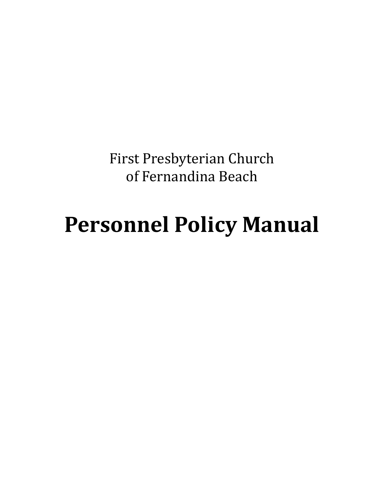First Presbyterian Church of Fernandina Beach

# **Personnel Policy Manual**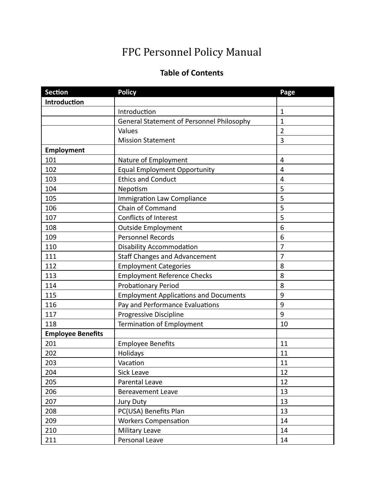# FPC Personnel Policy Manual

# **Table of Contents**

| <b>Section</b>           | <b>Policy</b>                                | Page           |
|--------------------------|----------------------------------------------|----------------|
| Introduction             |                                              |                |
|                          | Introduction                                 | $\mathbf 1$    |
|                          | General Statement of Personnel Philosophy    | $\mathbf{1}$   |
|                          | Values                                       | $\overline{2}$ |
|                          | <b>Mission Statement</b>                     | 3              |
| <b>Employment</b>        |                                              |                |
| 101                      | Nature of Employment                         | 4              |
| 102                      | <b>Equal Employment Opportunity</b>          | 4              |
| 103                      | <b>Ethics and Conduct</b>                    | $\overline{4}$ |
| 104                      | Nepotism                                     | 5              |
| 105                      | <b>Immigration Law Compliance</b>            | 5              |
| 106                      | Chain of Command                             | 5              |
| 107                      | <b>Conflicts of Interest</b>                 | 5              |
| 108                      | <b>Outside Employment</b>                    | 6              |
| 109                      | <b>Personnel Records</b>                     | 6              |
| 110                      | <b>Disability Accommodation</b>              |                |
| 111                      | <b>Staff Changes and Advancement</b>         | $\overline{7}$ |
| 112                      | <b>Employment Categories</b>                 | 8              |
| 113                      | <b>Employment Reference Checks</b>           | 8              |
| 114                      | <b>Probationary Period</b>                   | 8              |
| 115                      | <b>Employment Applications and Documents</b> | 9              |
| 116                      | Pay and Performance Evaluations              | 9              |
| 117                      | Progressive Discipline                       | 9              |
| 118                      | Termination of Employment                    | 10             |
| <b>Employee Benefits</b> |                                              |                |
| 201                      | <b>Employee Benefits</b>                     | 11             |
| 202                      | Holidays                                     | 11             |
| 203                      | Vacation                                     | 11             |
| 204                      | Sick Leave                                   | 12             |
| 205                      | Parental Leave                               | 12             |
| 206                      | <b>Bereavement Leave</b>                     | 13             |
| 207                      | Jury Duty                                    | 13             |
| 208                      | PC(USA) Benefits Plan                        | 13             |
| 209                      | <b>Workers Compensation</b>                  | 14             |
| 210                      | Military Leave                               | 14             |
| 211                      | Personal Leave                               | 14             |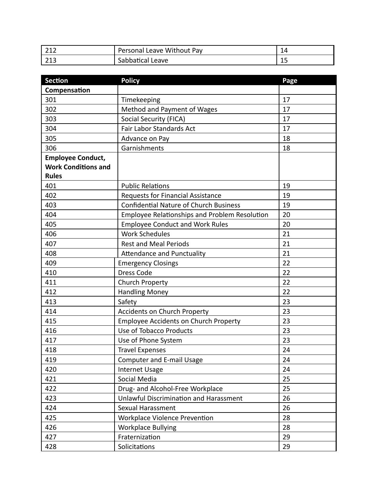| 212<br>414 | Leave Without Pay<br>Personal | 14 |
|------------|-------------------------------|----|
| 212<br>712 | Sabbatical Leave              | -- |

| <b>Section</b>             | <b>Policy</b>                                        | Page |
|----------------------------|------------------------------------------------------|------|
| Compensation               |                                                      |      |
| 301                        | Timekeeping                                          | 17   |
| 302                        | Method and Payment of Wages                          | 17   |
| 303                        | <b>Social Security (FICA)</b>                        | 17   |
| 304                        | Fair Labor Standards Act                             | 17   |
| 305                        | Advance on Pay                                       | 18   |
| 306                        | Garnishments                                         | 18   |
| <b>Employee Conduct,</b>   |                                                      |      |
| <b>Work Conditions and</b> |                                                      |      |
| <b>Rules</b>               |                                                      |      |
| 401                        | <b>Public Relations</b>                              | 19   |
| 402                        | <b>Requests for Financial Assistance</b>             | 19   |
| 403                        | <b>Confidential Nature of Church Business</b>        | 19   |
| 404                        | <b>Employee Relationships and Problem Resolution</b> | 20   |
| 405                        | <b>Employee Conduct and Work Rules</b>               | 20   |
| 406                        | <b>Work Schedules</b>                                | 21   |
| 407                        | <b>Rest and Meal Periods</b>                         | 21   |
| 408                        | <b>Attendance and Punctuality</b>                    | 21   |
| 409                        | <b>Emergency Closings</b>                            | 22   |
| 410                        | <b>Dress Code</b>                                    | 22   |
| 411                        | Church Property                                      | 22   |
| 412                        | <b>Handling Money</b>                                | 22   |
| 413                        | Safety                                               | 23   |
| 414                        | <b>Accidents on Church Property</b>                  | 23   |
| 415                        | <b>Employee Accidents on Church Property</b>         | 23   |
| 416                        | Use of Tobacco Products                              | 23   |
| 417                        | Use of Phone System                                  | 23   |
| 418                        | <b>Travel Expenses</b>                               | 24   |
| 419                        | <b>Computer and E-mail Usage</b>                     | 24   |
| 420                        | <b>Internet Usage</b>                                | 24   |
| 421                        | Social Media                                         | 25   |
| 422                        | Drug- and Alcohol-Free Workplace                     | 25   |
| 423                        | <b>Unlawful Discrimination and Harassment</b>        | 26   |
| 424                        | Sexual Harassment                                    | 26   |
| 425                        | <b>Workplace Violence Prevention</b>                 | 28   |
| 426                        | <b>Workplace Bullying</b>                            | 28   |
| 427                        | Fraternization                                       | 29   |
| 428                        | Solicitations                                        | 29   |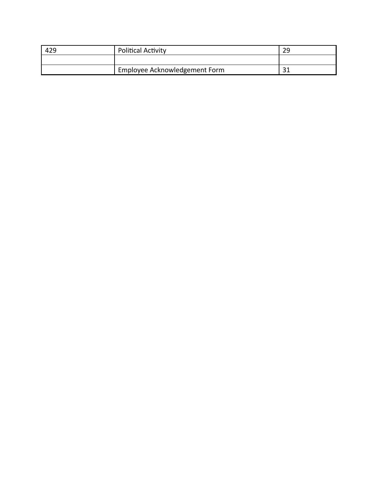| 429 | <b>Political Activity</b>     | 29 |
|-----|-------------------------------|----|
|     |                               |    |
|     | Employee Acknowledgement Form | ີ  |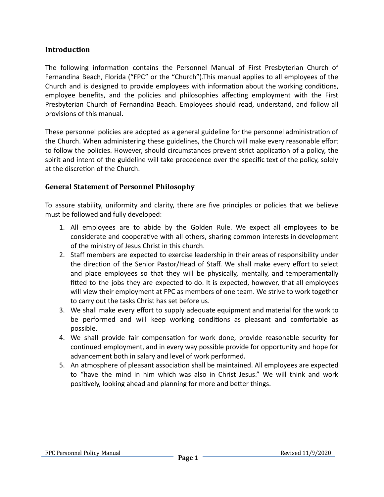### **Introduction**

The following information contains the Personnel Manual of First Presbyterian Church of Fernandina Beach, Florida ("FPC" or the "Church").This manual applies to all employees of the Church and is designed to provide employees with information about the working conditions, employee benefits, and the policies and philosophies affecting employment with the First Presbyterian Church of Fernandina Beach. Employees should read, understand, and follow all provisions of this manual.

These personnel policies are adopted as a general guideline for the personnel administration of the Church. When administering these guidelines, the Church will make every reasonable effort to follow the policies. However, should circumstances prevent strict application of a policy, the spirit and intent of the guideline will take precedence over the specific text of the policy, solely at the discretion of the Church.

# **General Statement of Personnel Philosophy**

To assure stability, uniformity and clarity, there are five principles or policies that we believe must be followed and fully developed:

- 1. All employees are to abide by the Golden Rule. We expect all employees to be considerate and cooperative with all others, sharing common interests in development of the ministry of Jesus Christ in this church.
- 2. Staff members are expected to exercise leadership in their areas of responsibility under the direction of the Senior Pastor/Head of Staff. We shall make every effort to select and place employees so that they will be physically, mentally, and temperamentally fitted to the jobs they are expected to do. It is expected, however, that all employees will view their employment at FPC as members of one team. We strive to work together to carry out the tasks Christ has set before us.
- 3. We shall make every effort to supply adequate equipment and material for the work to be performed and will keep working conditions as pleasant and comfortable as possible.
- 4. We shall provide fair compensation for work done, provide reasonable security for continued employment, and in every way possible provide for opportunity and hope for advancement both in salary and level of work performed.
- 5. An atmosphere of pleasant association shall be maintained. All employees are expected to "have the mind in him which was also in Christ Jesus." We will think and work positively, looking ahead and planning for more and better things.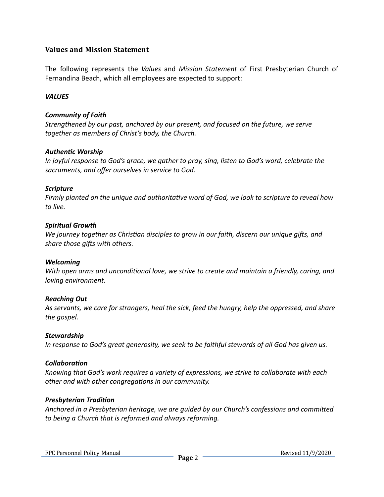#### **Values and Mission Statement**

The following represents the *Values* and *Mission Statement* of First Presbyterian Church of Fernandina Beach, which all employees are expected to support:

#### *VALUES*

#### *Community of Faith*

*Strengthened by our past, anchored by our present, and focused on the future, we serve together as members of Christ's body, the Church.*

#### **Authentic Worship**

*In joyful response to God's grace, we gather to pray, sing, listen to God's word, celebrate the sacraments, and offer ourselves in service to God.*

#### *Scripture*

*Firmly planted on the unique and authoritative word of God, we look to scripture to reveal how to live.*

#### *Spiritual Growth*

*We journey together as Christian disciples to grow in our faith, discern our unique gifts, and* share those gifts with others.

#### *Welcoming*

*With open arms and unconditional love, we strive to create and maintain a friendly, caring, and loving environment.*

#### *Reaching Out*

*As servants, we care for strangers, heal the sick, feed the hungry, help the oppressed, and share the gospel.*

#### *Stewardship*

*In response to God's great generosity, we seek to be faithful stewards of all God has given us.*

#### **Collaboration**

*Knowing that God's work requires a variety of expressions, we strive to collaborate with each other and with other congregations in our community.* 

#### **Presbyterian Tradition**

Anchored in a Presbyterian heritage, we are quided by our Church's confessions and committed *to being a Church that is reformed and always reforming.*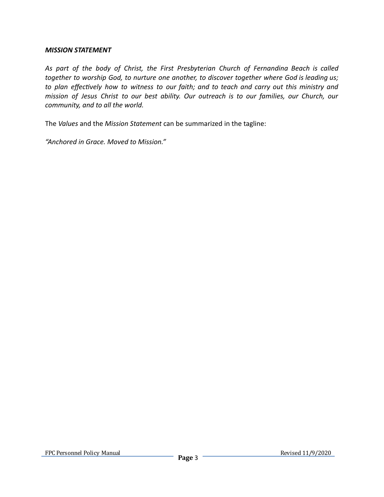#### *MISSION STATEMENT*

*As part of the body of Christ, the First Presbyterian Church of Fernandina Beach is called together to worship God, to nurture one another, to discover together where God is leading us; to plan effectively how to witness to our faith; and to teach and carry out this ministry and mission of Jesus Christ to our best ability. Our outreach is to our families, our Church, our community, and to all the world.*

The *Values* and the *Mission Statement* can be summarized in the tagline:

*"Anchored in Grace. Moved to Mission."*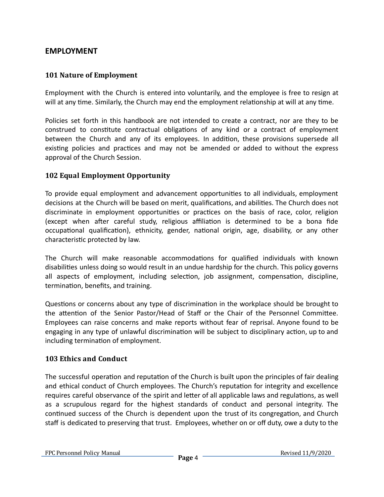# **EMPLOYMENT**

# **101 Nature of Employment**

Employment with the Church is entered into voluntarily, and the employee is free to resign at will at any time. Similarly, the Church may end the employment relationship at will at any time.

Policies set forth in this handbook are not intended to create a contract, nor are they to be construed to constitute contractual obligations of any kind or a contract of employment between the Church and any of its employees. In addition, these provisions supersede all existing policies and practices and may not be amended or added to without the express approval of the Church Session.

# **102 Equal Employment Opportunity**

To provide equal employment and advancement opportunities to all individuals, employment decisions at the Church will be based on merit, qualifications, and abilities. The Church does not discriminate in employment opportunities or practices on the basis of race, color, religion (except when after careful study, religious affiliation is determined to be a bona fide occupational qualification), ethnicity, gender, national origin, age, disability, or any other characteristic protected by law.

The Church will make reasonable accommodations for qualified individuals with known disabilities unless doing so would result in an undue hardship for the church. This policy governs all aspects of employment, including selection, job assignment, compensation, discipline, termination, benefits, and training.

Questions or concerns about any type of discrimination in the workplace should be brought to the attention of the Senior Pastor/Head of Staff or the Chair of the Personnel Committee. Employees can raise concerns and make reports without fear of reprisal. Anyone found to be engaging in any type of unlawful discrimination will be subject to disciplinary action, up to and including termination of employment.

#### **103 Ethics and Conduct**

The successful operation and reputation of the Church is built upon the principles of fair dealing and ethical conduct of Church employees. The Church's reputation for integrity and excellence requires careful observance of the spirit and letter of all applicable laws and regulations, as well as a scrupulous regard for the highest standards of conduct and personal integrity. The continued success of the Church is dependent upon the trust of its congregation, and Church staff is dedicated to preserving that trust. Employees, whether on or off duty, owe a duty to the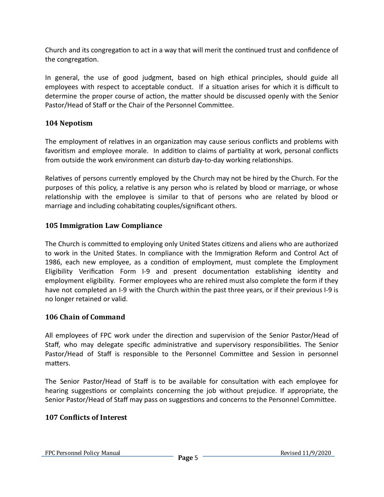Church and its congregation to act in a way that will merit the continued trust and confidence of the congregation.

In general, the use of good judgment, based on high ethical principles, should guide all employees with respect to acceptable conduct. If a situation arises for which it is difficult to determine the proper course of action, the matter should be discussed openly with the Senior Pastor/Head of Staff or the Chair of the Personnel Committee.

# **104 Nepotism**

The employment of relatives in an organization may cause serious conflicts and problems with favoritism and employee morale. In addition to claims of partiality at work, personal conflicts from outside the work environment can disturb day-to-day working relationships.

Relatives of persons currently employed by the Church may not be hired by the Church. For the purposes of this policy, a relative is any person who is related by blood or marriage, or whose relationship with the employee is similar to that of persons who are related by blood or marriage and including cohabitating couples/significant others.

# **105 Immigration Law Compliance**

The Church is committed to employing only United States citizens and aliens who are authorized to work in the United States. In compliance with the Immigration Reform and Control Act of 1986, each new employee, as a condition of employment, must complete the Employment Eligibility Verification Form I-9 and present documentation establishing identity and employment eligibility. Former employees who are rehired must also complete the form if they have not completed an I-9 with the Church within the past three years, or if their previous I-9 is no longer retained or valid.

#### **106 Chain of Command**

All employees of FPC work under the direction and supervision of the Senior Pastor/Head of Staff, who may delegate specific administrative and supervisory responsibilities. The Senior Pastor/Head of Staff is responsible to the Personnel Committee and Session in personnel matters.

The Senior Pastor/Head of Staff is to be available for consultation with each employee for hearing suggestions or complaints concerning the job without prejudice. If appropriate, the Senior Pastor/Head of Staff may pass on suggestions and concerns to the Personnel Committee.

#### **107 Conlicts of Interest**

FPC Personnel Policy Manual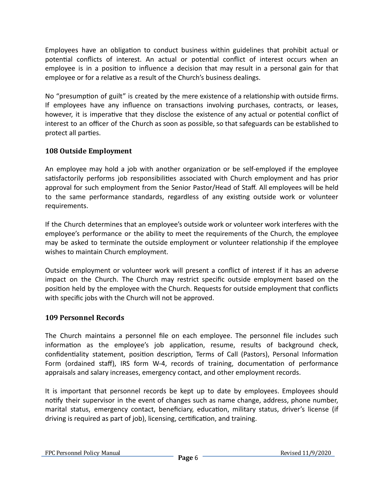Employees have an obligation to conduct business within guidelines that prohibit actual or potential conflicts of interest. An actual or potential conflict of interest occurs when an employee is in a position to influence a decision that may result in a personal gain for that employee or for a relative as a result of the Church's business dealings.

No "presumption of guilt" is created by the mere existence of a relationship with outside firms. If employees have any influence on transactions involving purchases, contracts, or leases, however, it is imperative that they disclose the existence of any actual or potential conflict of interest to an officer of the Church as soon as possible, so that safeguards can be established to protect all parties.

# **108 Outside Employment**

An employee may hold a job with another organization or be self-employed if the employee satisfactorily performs job responsibilities associated with Church employment and has prior approval for such employment from the Senior Pastor/Head of Staff. All employees will be held to the same performance standards, regardless of any existing outside work or volunteer requirements.

If the Church determines that an employee's outside work or volunteer work interferes with the employee's performance or the ability to meet the requirements of the Church, the employee may be asked to terminate the outside employment or volunteer relationship if the employee wishes to maintain Church employment.

Outside employment or volunteer work will present a conflict of interest if it has an adverse impact on the Church. The Church may restrict specific outside employment based on the position held by the employee with the Church. Requests for outside employment that conflicts with specific jobs with the Church will not be approved.

# **109 Personnel Records**

The Church maintains a personnel file on each employee. The personnel file includes such information as the employee's job application, resume, results of background check, confidentiality statement, position description, Terms of Call (Pastors), Personal Information Form (ordained staff), IRS form W-4, records of training, documentation of performance appraisals and salary increases, emergency contact, and other employment records.

It is important that personnel records be kept up to date by employees. Employees should notify their supervisor in the event of changes such as name change, address, phone number, marital status, emergency contact, beneficiary, education, military status, driver's license (if driving is required as part of job), licensing, certification, and training.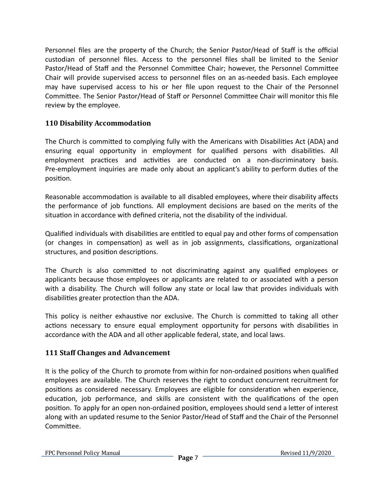Personnel files are the property of the Church; the Senior Pastor/Head of Staff is the official custodian of personnel files. Access to the personnel files shall be limited to the Senior Pastor/Head of Staff and the Personnel Committee Chair; however, the Personnel Committee Chair will provide supervised access to personnel files on an as-needed basis. Each employee may have supervised access to his or her file upon request to the Chair of the Personnel Committee. The Senior Pastor/Head of Staff or Personnel Committee Chair will monitor this file review by the employee.

# **110 Disability Accommodation**

The Church is committed to complying fully with the Americans with Disabilities Act (ADA) and ensuring equal opportunity in employment for qualified persons with disabilities. All employment practices and activities are conducted on a non-discriminatory basis. Pre-employment inquiries are made only about an applicant's ability to perform duties of the position.

Reasonable accommodation is available to all disabled employees, where their disability affects the performance of job functions. All employment decisions are based on the merits of the situation in accordance with defined criteria, not the disability of the individual.

Qualified individuals with disabilities are entitled to equal pay and other forms of compensation (or changes in compensation) as well as in job assignments, classifications, organizational structures, and position descriptions.

The Church is also committed to not discriminating against any qualified employees or applicants because those employees or applicants are related to or associated with a person with a disability. The Church will follow any state or local law that provides individuals with disabilities greater protection than the ADA.

This policy is neither exhaustive nor exclusive. The Church is committed to taking all other actions necessary to ensure equal employment opportunity for persons with disabilities in accordance with the ADA and all other applicable federal, state, and local laws.

# **111 Staff Changes and Advancement**

It is the policy of the Church to promote from within for non-ordained positions when qualified employees are available. The Church reserves the right to conduct concurrent recruitment for positions as considered necessary. Employees are eligible for consideration when experience, education, job performance, and skills are consistent with the qualifications of the open position. To apply for an open non-ordained position, employees should send a letter of interest along with an updated resume to the Senior Pastor/Head of Staff and the Chair of the Personnel Committee.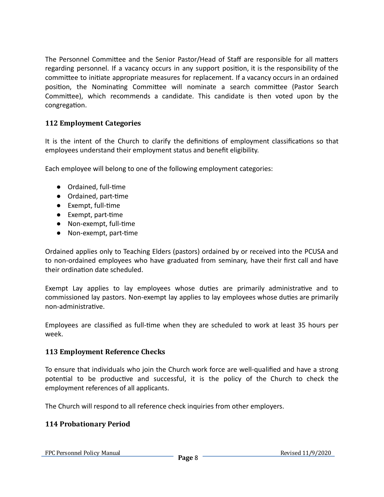The Personnel Committee and the Senior Pastor/Head of Staff are responsible for all matters regarding personnel. If a vacancy occurs in any support position, it is the responsibility of the committee to initiate appropriate measures for replacement. If a vacancy occurs in an ordained position, the Nominating Committee will nominate a search committee (Pastor Search Committee), which recommends a candidate. This candidate is then voted upon by the congregation.

# **112 Employment Categories**

It is the intent of the Church to clarify the definitions of employment classifications so that employees understand their employment status and benefit eligibility.

Each employee will belong to one of the following employment categories:

- Ordained, full-time
- Ordained, part-time
- Exempt, full-time
- Exempt, part-time
- Non-exempt, full-time
- Non-exempt, part-time

Ordained applies only to Teaching Elders (pastors) ordained by or received into the PCUSA and to non-ordained employees who have graduated from seminary, have their first call and have their ordination date scheduled.

Exempt Lay applies to lay employees whose duties are primarily administrative and to commissioned lay pastors. Non-exempt lay applies to lay employees whose duties are primarily non-administrative.

Employees are classified as full-time when they are scheduled to work at least 35 hours per week.

#### **113 Employment Reference Checks**

To ensure that individuals who join the Church work force are well-qualified and have a strong potential to be productive and successful, it is the policy of the Church to check the employment references of all applicants.

The Church will respond to all reference check inquiries from other employers.

# **114 Probationary Period**

FPC Personnel Policy Manual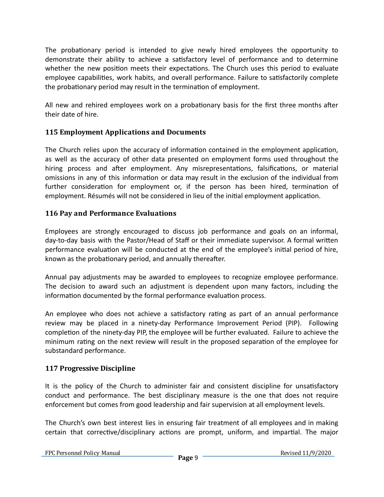The probationary period is intended to give newly hired employees the opportunity to demonstrate their ability to achieve a sasfactory level of performance and to determine whether the new position meets their expectations. The Church uses this period to evaluate employee capabilities, work habits, and overall performance. Failure to satisfactorily complete the probationary period may result in the termination of employment.

All new and rehired employees work on a probationary basis for the first three months after their date of hire.

# **115 Employment Applications and Documents**

The Church relies upon the accuracy of information contained in the employment application, as well as the accuracy of other data presented on employment forms used throughout the hiring process and after employment. Any misrepresentations, falsifications, or material omissions in any of this information or data may result in the exclusion of the individual from further consideration for employment or, if the person has been hired, termination of employment. Résumés will not be considered in lieu of the initial employment application.

# **116 Pay and Performance Evaluations**

Employees are strongly encouraged to discuss job performance and goals on an informal, day-to-day basis with the Pastor/Head of Staff or their immediate supervisor. A formal written performance evaluation will be conducted at the end of the employee's initial period of hire, known as the probationary period, and annually thereafter.

Annual pay adjustments may be awarded to employees to recognize employee performance. The decision to award such an adjustment is dependent upon many factors, including the information documented by the formal performance evaluation process.

An employee who does not achieve a satisfactory rating as part of an annual performance review may be placed in a ninety-day Performance Improvement Period (PIP). Following completion of the ninety-day PIP, the employee will be further evaluated. Failure to achieve the minimum rating on the next review will result in the proposed separation of the employee for substandard performance.

#### **117 Progressive Discipline**

It is the policy of the Church to administer fair and consistent discipline for unsatisfactory conduct and performance. The best disciplinary measure is the one that does not require enforcement but comes from good leadership and fair supervision at all employment levels.

The Church's own best interest lies in ensuring fair treatment of all employees and in making certain that corrective/disciplinary actions are prompt, uniform, and impartial. The major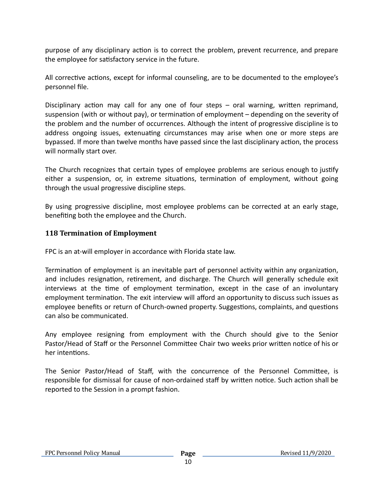purpose of any disciplinary action is to correct the problem, prevent recurrence, and prepare the employee for satisfactory service in the future.

All corrective actions, except for informal counseling, are to be documented to the employee's personnel file.

Disciplinary action may call for any one of four steps  $-$  oral warning, written reprimand, suspension (with or without pay), or termination of employment – depending on the severity of the problem and the number of occurrences. Although the intent of progressive discipline is to address ongoing issues, extenuating circumstances may arise when one or more steps are bypassed. If more than twelve months have passed since the last disciplinary action, the process will normally start over.

The Church recognizes that certain types of employee problems are serious enough to justify either a suspension, or, in extreme situations, termination of employment, without going through the usual progressive discipline steps.

By using progressive discipline, most employee problems can be corrected at an early stage, benefiting both the employee and the Church.

# **118 Termination of Employment**

FPC is an at-will employer in accordance with Florida state law.

Termination of employment is an inevitable part of personnel activity within any organization, and includes resignation, retirement, and discharge. The Church will generally schedule exit interviews at the time of employment termination, except in the case of an involuntary employment termination. The exit interview will afford an opportunity to discuss such issues as employee benefits or return of Church-owned property. Suggestions, complaints, and questions can also be communicated.

Any employee resigning from employment with the Church should give to the Senior Pastor/Head of Staff or the Personnel Committee Chair two weeks prior written notice of his or her intentions.

The Senior Pastor/Head of Staff, with the concurrence of the Personnel Committee, is responsible for dismissal for cause of non-ordained staff by written notice. Such action shall be reported to the Session in a prompt fashion.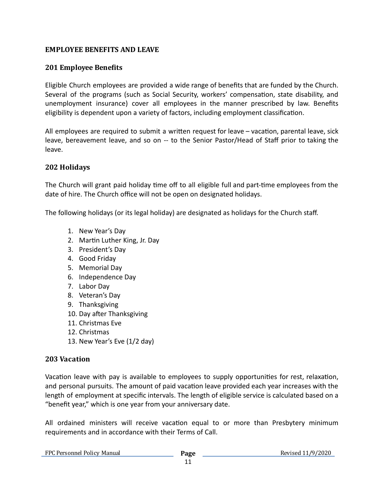# **EMPLOYEE BENEFITS AND LEAVE**

# **201 Employee Beneits**

Eligible Church employees are provided a wide range of benefits that are funded by the Church. Several of the programs (such as Social Security, workers' compensation, state disability, and unemployment insurance) cover all employees in the manner prescribed by law. Benefits eligibility is dependent upon a variety of factors, including employment classification.

All employees are required to submit a written request for leave - vacation, parental leave, sick leave, bereavement leave, and so on -- to the Senior Pastor/Head of Staff prior to taking the leave.

# **202 Holidays**

The Church will grant paid holiday time off to all eligible full and part-time employees from the date of hire. The Church office will not be open on designated holidays.

The following holidays (or its legal holiday) are designated as holidays for the Church staff.

- 1. New Year's Day
- 2. Martin Luther King, Jr. Day
- 3. President's Day
- 4. Good Friday
- 5. Memorial Day
- 6. Independence Day
- 7. Labor Day
- 8. Veteran's Day
- 9. Thanksgiving
- 10. Day after Thanksgiving
- 11. Christmas Eve
- 12. Christmas
- 13. New Year's Eve (1/2 day)

#### **203 Vacation**

Vacation leave with pay is available to employees to supply opportunities for rest, relaxation, and personal pursuits. The amount of paid vacation leave provided each year increases with the length of employment at specific intervals. The length of eligible service is calculated based on a "benefit year," which is one year from your anniversary date.

All ordained ministers will receive vacation equal to or more than Presbytery minimum requirements and in accordance with their Terms of Call.

| FPC Personnel Policy Manual | Page |
|-----------------------------|------|
|-----------------------------|------|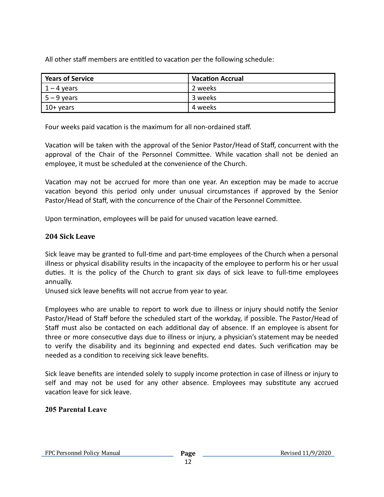All other staff members are entitled to vacation per the following schedule:

| <b>Years of Service</b> | <b>Vacation Accrual</b> |
|-------------------------|-------------------------|
| $1 - 4$ years           | 2 weeks                 |
| $5 - 9$ years           | 3 weeks                 |
| 10+ years               | 4 weeks                 |

Four weeks paid vacation is the maximum for all non-ordained staff.

Vacation will be taken with the approval of the Senior Pastor/Head of Staff, concurrent with the approval of the Chair of the Personnel Committee. While vacation shall not be denied an employee, it must be scheduled at the convenience of the Church.

Vacation may not be accrued for more than one year. An exception may be made to accrue vacation beyond this period only under unusual circumstances if approved by the Senior Pastor/Head of Staff, with the concurrence of the Chair of the Personnel Committee.

Upon termination, employees will be paid for unused vacation leave earned.

# **204 Sick Leave**

Sick leave may be granted to full-time and part-time employees of the Church when a personal illness or physical disability results in the incapacity of the employee to perform his or her usual duties. It is the policy of the Church to grant six days of sick leave to full-time employees annually.

Unused sick leave benefits will not accrue from year to year.

Employees who are unable to report to work due to illness or injury should notify the Senior Pastor/Head of Staff before the scheduled start of the workday, if possible. The Pastor/Head of Staff must also be contacted on each additional day of absence. If an employee is absent for three or more consecutive days due to illness or injury, a physician's statement may be needed to verify the disability and its beginning and expected end dates. Such verification may be needed as a condition to receiving sick leave benefits.

Sick leave benefits are intended solely to supply income protection in case of illness or injury to self and may not be used for any other absence. Employees may substitute any accrued vacation leave for sick leave.

# **205 Parental Leave**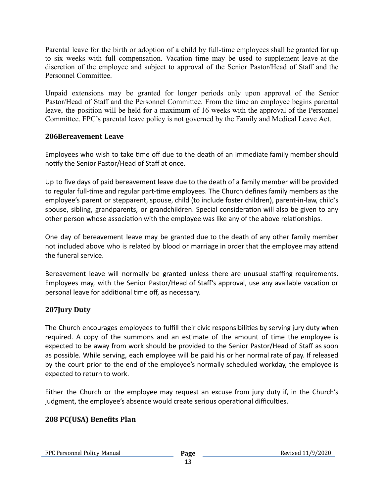Parental leave for the birth or adoption of a child by full-time employees shall be granted for up to six weeks with full compensation. Vacation time may be used to supplement leave at the discretion of the employee and subject to approval of the Senior Pastor/Head of Staff and the Personnel Committee.

Unpaid extensions may be granted for longer periods only upon approval of the Senior Pastor/Head of Staff and the Personnel Committee. From the time an employee begins parental leave, the position will be held for a maximum of 16 weeks with the approval of the Personnel Committee. FPC's parental leave policy is not governed by the Family and Medical Leave Act.

#### **206Bereavement Leave**

Employees who wish to take time off due to the death of an immediate family member should notify the Senior Pastor/Head of Staff at once.

Up to five days of paid bereavement leave due to the death of a family member will be provided to regular full-time and regular part-time employees. The Church defines family members as the employee's parent or stepparent, spouse, child (to include foster children), parent-in-law, child's spouse, sibling, grandparents, or grandchildren. Special consideration will also be given to any other person whose association with the employee was like any of the above relationships.

One day of bereavement leave may be granted due to the death of any other family member not included above who is related by blood or marriage in order that the employee may attend the funeral service.

Bereavement leave will normally be granted unless there are unusual staffing requirements. Employees may, with the Senior Pastor/Head of Staff's approval, use any available vacation or personal leave for additional time off, as necessary.

# **207Jury Duty**

The Church encourages employees to fulfill their civic responsibilities by serving jury duty when required. A copy of the summons and an estimate of the amount of time the employee is expected to be away from work should be provided to the Senior Pastor/Head of Staff as soon as possible. While serving, each employee will be paid his or her normal rate of pay. If released by the court prior to the end of the employee's normally scheduled workday, the employee is expected to return to work.

Either the Church or the employee may request an excuse from jury duty if, in the Church's judgment, the employee's absence would create serious operational difficulties.

# **208 PC(USA) Beneits Plan**

FPC Personnel Policy Manual **Page**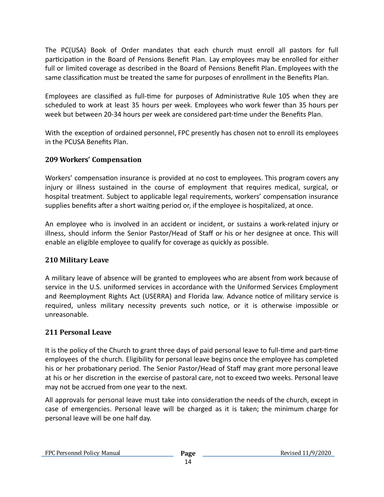The [PC\(USA\)](https://www.pcusa.org/resource/book-order-2017-2019/) Book of Order mandates that each church must enroll all pastors for full participation in the Board of Pensions Benefit Plan. Lay employees may be enrolled for either full or limited coverage as described in the Board of Pensions Benefit Plan. Employees with the same classification must be treated the same for purposes of enrollment in the Benefits Plan.

Employees are classified as full-time for purposes of Administrative Rule 105 when they are scheduled to work at least 35 hours per week. Employees who work fewer than 35 hours per week but between 20-34 hours per week are considered part-time under the Benefits Plan.

With the exception of ordained personnel, FPC presently has chosen not to enroll its employees in the PCUSA Benefits Plan.

# **209 Workers' Compensation**

Workers' compensation insurance is provided at no cost to employees. This program covers any injury or illness sustained in the course of employment that requires medical, surgical, or hospital treatment. Subject to applicable legal requirements, workers' compensation insurance supplies benefits after a short waiting period or, if the employee is hospitalized, at once.

An employee who is involved in an accident or incident, or sustains a work-related injury or illness, should inform the Senior Pastor/Head of Staff or his or her designee at once. This will enable an eligible employee to qualify for coverage as quickly as possible.

#### **210 Military Leave**

A military leave of absence will be granted to employees who are absent from work because of service in the U.S. uniformed services in accordance with the Uniformed Services Employment and Reemployment Rights Act (USERRA) and Florida law. Advance notice of military service is required, unless military necessity prevents such notice, or it is otherwise impossible or unreasonable.

# **211 Personal Leave**

It is the policy of the Church to grant three days of paid personal leave to full-time and part-time employees of the church. Eligibility for personal leave begins once the employee has completed his or her probationary period. The Senior Pastor/Head of Staff may grant more personal leave at his or her discretion in the exercise of pastoral care, not to exceed two weeks. Personal leave may not be accrued from one year to the next.

All approvals for personal leave must take into consideration the needs of the church, except in case of emergencies. Personal leave will be charged as it is taken; the minimum charge for personal leave will be one half day.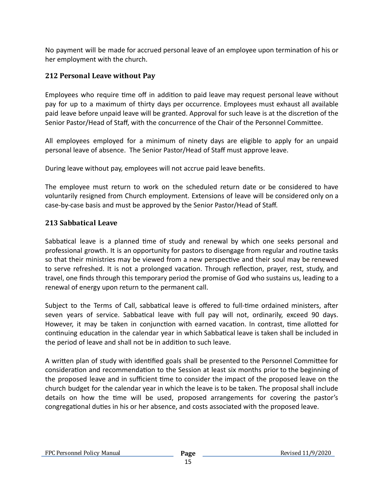No payment will be made for accrued personal leave of an employee upon termination of his or her employment with the church.

# **212 Personal Leave without Pay**

Employees who require time off in addition to paid leave may request personal leave without pay for up to a maximum of thirty days per occurrence. Employees must exhaust all available paid leave before unpaid leave will be granted. Approval for such leave is at the discretion of the Senior Pastor/Head of Staff, with the concurrence of the Chair of the Personnel Committee.

All employees employed for a minimum of ninety days are eligible to apply for an unpaid personal leave of absence. The Senior Pastor/Head of Staff must approve leave.

During leave without pay, employees will not accrue paid leave benefits.

The employee must return to work on the scheduled return date or be considered to have voluntarily resigned from Church employment. Extensions of leave will be considered only on a case-by-case basis and must be approved by the Senior Pastor/Head of Staff.

# **213 Sabbatical Leave**

Sabbatical leave is a planned time of study and renewal by which one seeks personal and professional growth. It is an opportunity for pastors to disengage from regular and routine tasks so that their ministries may be viewed from a new perspective and their soul may be renewed to serve refreshed. It is not a prolonged vacation. Through reflection, prayer, rest, study, and travel, one finds through this temporary period the promise of God who sustains us, leading to a renewal of energy upon return to the permanent call.

Subject to the Terms of Call, sabbatical leave is offered to full-time ordained ministers, after seven years of service. Sabbatical leave with full pay will not, ordinarily, exceed 90 days. However, it may be taken in conjunction with earned vacation. In contrast, time allotted for continuing education in the calendar year in which Sabbatical leave is taken shall be included in the period of leave and shall not be in addition to such leave.

A written plan of study with identified goals shall be presented to the Personnel Committee for consideration and recommendation to the Session at least six months prior to the beginning of the proposed leave and in sufficient time to consider the impact of the proposed leave on the church budget for the calendar year in which the leave is to be taken. The proposal shall include details on how the time will be used, proposed arrangements for covering the pastor's congregational duties in his or her absence, and costs associated with the proposed leave.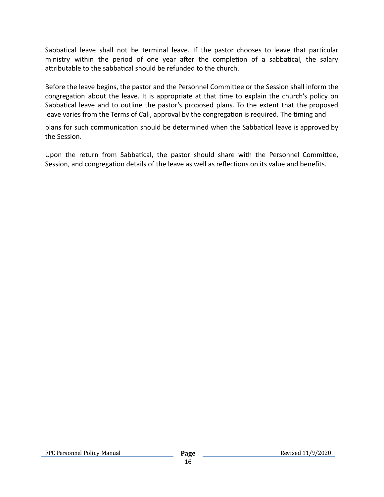Sabbatical leave shall not be terminal leave. If the pastor chooses to leave that particular ministry within the period of one year after the completion of a sabbatical, the salary attributable to the sabbatical should be refunded to the church.

Before the leave begins, the pastor and the Personnel Committee or the Session shall inform the congregation about the leave. It is appropriate at that time to explain the church's policy on Sabbatical leave and to outline the pastor's proposed plans. To the extent that the proposed leave varies from the Terms of Call, approval by the congregation is required. The timing and

plans for such communication should be determined when the Sabbatical leave is approved by the Session.

Upon the return from Sabbatical, the pastor should share with the Personnel Committee, Session, and congregation details of the leave as well as reflections on its value and benefits.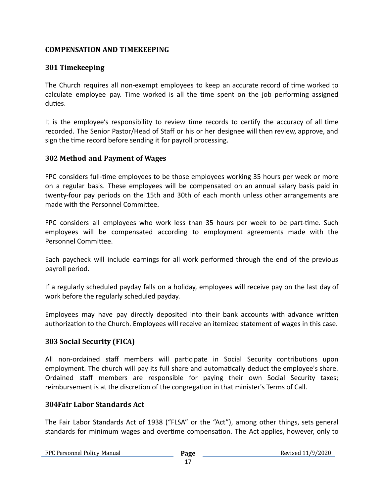# **COMPENSATION AND TIMEKEEPING**

# **301 Timekeeping**

The Church requires all non-exempt employees to keep an accurate record of time worked to calculate employee pay. Time worked is all the time spent on the job performing assigned duties.

It is the employee's responsibility to review time records to certify the accuracy of all time recorded. The Senior Pastor/Head of Staff or his or her designee will then review, approve, and sign the time record before sending it for payroll processing.

#### **302 Method and Payment of Wages**

FPC considers full-time employees to be those employees working 35 hours per week or more on a regular basis. These employees will be compensated on an annual salary basis paid in twenty-four pay periods on the 15th and 30th of each month unless other arrangements are made with the Personnel Committee.

FPC considers all employees who work less than 35 hours per week to be part-time. Such employees will be compensated according to employment agreements made with the Personnel Committee.

Each paycheck will include earnings for all work performed through the end of the previous payroll period.

If a regularly scheduled payday falls on a holiday, employees will receive pay on the last day of work before the regularly scheduled payday.

Employees may have pay directly deposited into their bank accounts with advance written authorization to the Church. Employees will receive an itemized statement of wages in this case.

# **303 Social Security (FICA)**

All non-ordained staff members will participate in Social Security contributions upon employment. The church will pay its full share and automatically deduct the employee's share. Ordained staff members are responsible for paying their own Social Security taxes; reimbursement is at the discretion of the congregation in that minister's Terms of Call.

#### **304Fair Labor Standards Act**

The Fair Labor Standards Act of 1938 ("FLSA" or the "Act"), among other things, sets general standards for minimum wages and overtime compensation. The Act applies, however, only to

FPC Personnel Policy Manual **Page**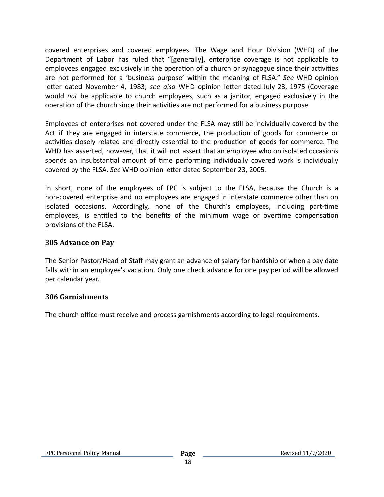covered enterprises and covered employees. The Wage and Hour Division (WHD) of the Department of Labor has ruled that "[generally], enterprise coverage is not applicable to employees engaged exclusively in the operation of a church or synagogue since their activities are not performed for a 'business purpose' within the meaning of FLSA." *See* WHD opinion letter dated November 4, 1983; see also WHD opinion letter dated July 23, 1975 (Coverage would *not* be applicable to church employees, such as a janitor, engaged exclusively in the operation of the church since their activities are not performed for a business purpose.

Employees of enterprises not covered under the FLSA may still be individually covered by the Act if they are engaged in interstate commerce, the production of goods for commerce or activities closely related and directly essential to the production of goods for commerce. The WHD has asserted, however, that it will not assert that an employee who on isolated occasions spends an insubstantial amount of time performing individually covered work is individually covered by the FLSA. *See* WHD opinion letter dated September 23, 2005.

In short, none of the employees of FPC is subject to the FLSA, because the Church is a non-covered enterprise and no employees are engaged in interstate commerce other than on isolated occasions. Accordingly, none of the Church's employees, including part-time employees, is entitled to the benefits of the minimum wage or overtime compensation provisions of the FLSA.

#### **305 Advance on Pay**

The Senior Pastor/Head of Staff may grant an advance of salary for hardship or when a pay date falls within an employee's vacation. Only one check advance for one pay period will be allowed per calendar year.

#### **306 Garnishments**

The church office must receive and process garnishments according to legal requirements.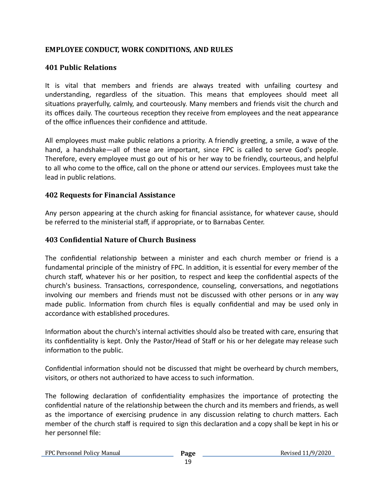# **EMPLOYEE CONDUCT, WORK CONDITIONS, AND RULES**

### **401 Public Relations**

It is vital that members and friends are always treated with unfailing courtesy and understanding, regardless of the situation. This means that employees should meet all situations prayerfully, calmly, and courteously. Many members and friends visit the church and its offices daily. The courteous reception they receive from employees and the neat appearance of the office influences their confidence and attitude.

All employees must make public relations a priority. A friendly greeting, a smile, a wave of the hand, a handshake—all of these are important, since FPC is called to serve God's people. Therefore, every employee must go out of his or her way to be friendly, courteous, and helpful to all who come to the office, call on the phone or attend our services. Employees must take the lead in public relations.

#### **402 Requests for Financial Assistance**

Any person appearing at the church asking for financial assistance, for whatever cause, should be referred to the ministerial staff, if appropriate, or to Barnabas Center.

#### **403 Conidential Nature of Church Business**

The confidential relationship between a minister and each church member or friend is a fundamental principle of the ministry of FPC. In addition, it is essential for every member of the church staff, whatever his or her position, to respect and keep the confidential aspects of the church's business. Transactions, correspondence, counseling, conversations, and negotiations involving our members and friends must not be discussed with other persons or in any way made public. Information from church files is equally confidential and may be used only in accordance with established procedures.

Information about the church's internal activities should also be treated with care, ensuring that its confidentiality is kept. Only the Pastor/Head of Staff or his or her delegate may release such information to the public.

Confidential information should not be discussed that might be overheard by church members, visitors, or others not authorized to have access to such information.

The following declaration of confidentiality emphasizes the importance of protecting the confidential nature of the relationship between the church and its members and friends, as well as the importance of exercising prudence in any discussion relating to church matters. Each member of the church staff is required to sign this declaration and a copy shall be kept in his or her personnel file: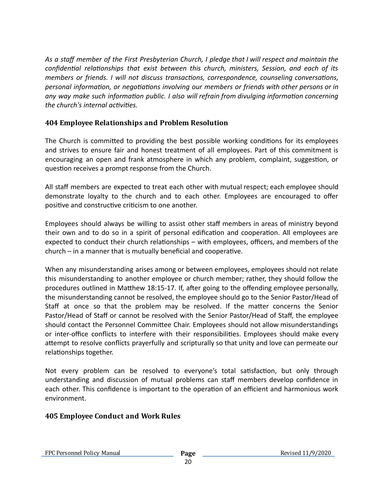*As a staff member of the First Presbyterian Church, I pledge that I will respect and maintain the*  $f$ confidential *relationships that exist between this church, ministers, Session, and each of its members* or *friends. I* will not discuss transactions, correspondence, counseling conversations, *personal information, or negotiations involving our members or friends with other persons or in any* way make such information public. I also will refrain from divulging information concerning *the church's internal activities.* 

# **404 Employee Relationships and Problem Resolution**

The Church is committed to providing the best possible working conditions for its employees and strives to ensure fair and honest treatment of all employees. Part of this commitment is encouraging an open and frank atmosphere in which any problem, complaint, suggestion, or question receives a prompt response from the Church.

All staff members are expected to treat each other with mutual respect; each employee should demonstrate loyalty to the church and to each other. Employees are encouraged to offer positive and constructive criticism to one another.

Employees should always be willing to assist other staff members in areas of ministry beyond their own and to do so in a spirit of personal edification and cooperation. All employees are expected to conduct their church relationships  $-$  with employees, officers, and members of the  $church - in a manner that is mutually beneficial and cooperative.$ 

When any misunderstanding arises among or between employees, employees should not relate this misunderstanding to another employee or church member; rather, they should follow the procedures outlined in Matthew 18:15-17. If, after going to the offending employee personally, the misunderstanding cannot be resolved, the employee should go to the Senior Pastor/Head of Staff at once so that the problem may be resolved. If the matter concerns the Senior Pastor/Head of Staff or cannot be resolved with the Senior Pastor/Head of Staff, the employee should contact the Personnel Committee Chair. Employees should not allow misunderstandings or inter-office conflicts to interfere with their responsibilities. Employees should make every attempt to resolve conflicts prayerfully and scripturally so that unity and love can permeate our relationships together.

Not every problem can be resolved to everyone's total satisfaction, but only through understanding and discussion of mutual problems can staff members develop confidence in each other. This confidence is important to the operation of an efficient and harmonious work environment.

#### **405 Employee Conduct and Work Rules**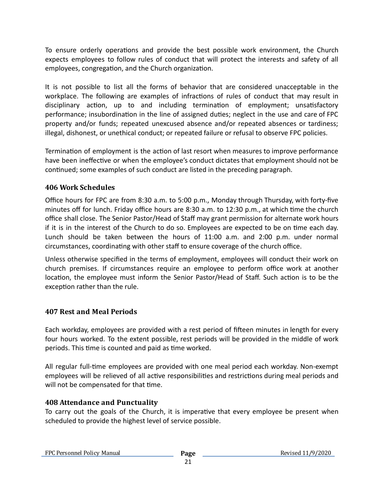To ensure orderly operations and provide the best possible work environment, the Church expects employees to follow rules of conduct that will protect the interests and safety of all employees, congregation, and the Church organization.

It is not possible to list all the forms of behavior that are considered unacceptable in the workplace. The following are examples of infractions of rules of conduct that may result in disciplinary action, up to and including termination of employment; unsatisfactory performance; insubordination in the line of assigned duties; neglect in the use and care of FPC property and/or funds; repeated unexcused absence and/or repeated absences or tardiness; illegal, dishonest, or unethical conduct; or repeated failure or refusal to observe FPC policies.

Termination of employment is the action of last resort when measures to improve performance have been ineffective or when the employee's conduct dictates that employment should not be continued; some examples of such conduct are listed in the preceding paragraph.

# **406 Work Schedules**

Office hours for FPC are from 8:30 a.m. to 5:00 p.m., Monday through Thursday, with forty-five minutes off for lunch. Friday office hours are 8:30 a.m. to 12:30 p.m., at which time the church office shall close. The Senior Pastor/Head of Staff may grant permission for alternate work hours if it is in the interest of the Church to do so. Employees are expected to be on time each day. Lunch should be taken between the hours of 11:00 a.m. and 2:00 p.m. under normal circumstances, coordinating with other staff to ensure coverage of the church office.

Unless otherwise specified in the terms of employment, employees will conduct their work on church premises. If circumstances require an employee to perform office work at another location, the employee must inform the Senior Pastor/Head of Staff. Such action is to be the exception rather than the rule.

# **407 Rest and Meal Periods**

Each workday, employees are provided with a rest period of fifteen minutes in length for every four hours worked. To the extent possible, rest periods will be provided in the middle of work periods. This time is counted and paid as time worked.

All regular full-me employees are provided with one meal period each workday. Non-exempt employees will be relieved of all active responsibilities and restrictions during meal periods and will not be compensated for that time.

#### **408 Attendance and Punctuality**

To carry out the goals of the Church, it is imperative that every employee be present when scheduled to provide the highest level of service possible.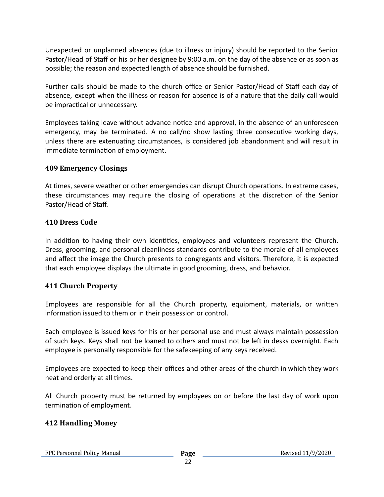Unexpected or unplanned absences (due to illness or injury) should be reported to the Senior Pastor/Head of Staff or his or her designee by 9:00 a.m. on the day of the absence or as soon as possible; the reason and expected length of absence should be furnished.

Further calls should be made to the church office or Senior Pastor/Head of Staff each day of absence, except when the illness or reason for absence is of a nature that the daily call would be impractical or unnecessary.

Employees taking leave without advance notice and approval, in the absence of an unforeseen emergency, may be terminated. A no call/no show lasting three consecutive working days, unless there are extenuating circumstances, is considered job abandonment and will result in immediate termination of employment.

#### **409 Emergency Closings**

At times, severe weather or other emergencies can disrupt Church operations. In extreme cases, these circumstances may require the closing of operations at the discretion of the Senior Pastor/Head of Staff.

#### **410 Dress Code**

In addition to having their own identities, employees and volunteers represent the Church. Dress, grooming, and personal cleanliness standards contribute to the morale of all employees and affect the image the Church presents to congregants and visitors. Therefore, it is expected that each employee displays the ultimate in good grooming, dress, and behavior.

#### **411 Church Property**

Employees are responsible for all the Church property, equipment, materials, or written information issued to them or in their possession or control.

Each employee is issued keys for his or her personal use and must always maintain possession of such keys. Keys shall not be loaned to others and must not be left in desks overnight. Each employee is personally responsible for the safekeeping of any keys received.

Employees are expected to keep their offices and other areas of the church in which they work neat and orderly at all times.

All Church property must be returned by employees on or before the last day of work upon termination of employment.

#### **412 Handling Money**

FPC Personnel Policy Manual **Page**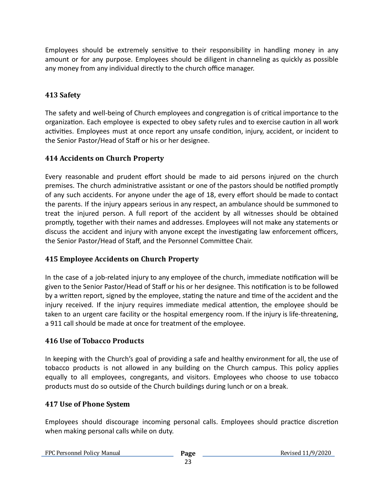Employees should be extremely sensitive to their responsibility in handling money in any amount or for any purpose. Employees should be diligent in channeling as quickly as possible any money from any individual directly to the church office manager.

# **413 Safety**

The safety and well-being of Church employees and congregation is of critical importance to the organization. Each employee is expected to obey safety rules and to exercise caution in all work activities. Employees must at once report any unsafe condition, injury, accident, or incident to the Senior Pastor/Head of Staff or his or her designee.

# **414 Accidents on Church Property**

Every reasonable and prudent effort should be made to aid persons injured on the church premises. The church administrative assistant or one of the pastors should be notified promptly of any such accidents. For anyone under the age of 18, every effort should be made to contact the parents. If the injury appears serious in any respect, an ambulance should be summoned to treat the injured person. A full report of the accident by all witnesses should be obtained promptly, together with their names and addresses. Employees will not make any statements or discuss the accident and injury with anyone except the investigating law enforcement officers, the Senior Pastor/Head of Staff, and the Personnel Committee Chair.

# **415 Employee Accidents on Church Property**

In the case of a job-related injury to any employee of the church, immediate notification will be given to the Senior Pastor/Head of Staff or his or her designee. This notification is to be followed by a written report, signed by the employee, stating the nature and time of the accident and the injury received. If the injury requires immediate medical attention, the employee should be taken to an urgent care facility or the hospital emergency room. If the injury is life-threatening, a 911 call should be made at once for treatment of the employee.

# **416 Use of Tobacco Products**

In keeping with the Church's goal of providing a safe and healthy environment for all, the use of tobacco products is not allowed in any building on the Church campus. This policy applies equally to all employees, congregants, and visitors. Employees who choose to use tobacco products must do so outside of the Church buildings during lunch or on a break.

# **417 Use of Phone System**

Employees should discourage incoming personal calls. Employees should practice discretion when making personal calls while on duty.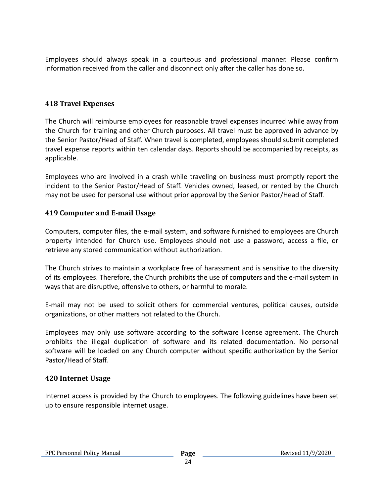Employees should always speak in a courteous and professional manner. Please confirm information received from the caller and disconnect only after the caller has done so.

#### **418 Travel Expenses**

The Church will reimburse employees for reasonable travel expenses incurred while away from the Church for training and other Church purposes. All travel must be approved in advance by the Senior Pastor/Head of Staff. When travel is completed, employees should submit completed travel expense reports within ten calendar days. Reports should be accompanied by receipts, as applicable.

Employees who are involved in a crash while traveling on business must promptly report the incident to the Senior Pastor/Head of Staff. Vehicles owned, leased, or rented by the Church may not be used for personal use without prior approval by the Senior Pastor/Head of Staff.

#### **419 Computer and E-mail Usage**

Computers, computer files, the e-mail system, and software furnished to employees are Church property intended for Church use. Employees should not use a password, access a file, or retrieve any stored communication without authorization.

The Church strives to maintain a workplace free of harassment and is sensitive to the diversity of its employees. Therefore, the Church prohibits the use of computers and the e-mail system in ways that are disruptive, offensive to others, or harmful to morale.

E-mail may not be used to solicit others for commercial ventures, political causes, outside organizations, or other matters not related to the Church.

Employees may only use software according to the software license agreement. The Church prohibits the illegal duplication of software and its related documentation. No personal software will be loaded on any Church computer without specific authorization by the Senior Pastor/Head of Staff.

#### **420 Internet Usage**

Internet access is provided by the Church to employees. The following guidelines have been set up to ensure responsible internet usage.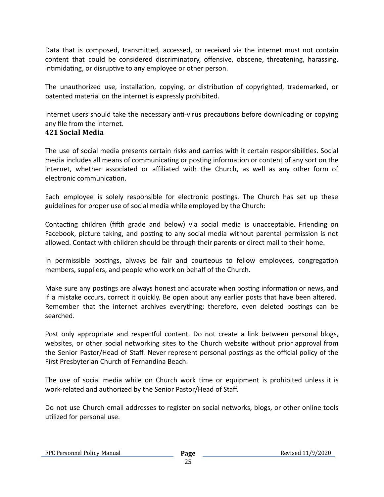Data that is composed, transmitted, accessed, or received via the internet must not contain content that could be considered discriminatory, offensive, obscene, threatening, harassing, intimidating, or disruptive to any employee or other person.

The unauthorized use, installation, copying, or distribution of copyrighted, trademarked, or patented material on the internet is expressly prohibited.

Internet users should take the necessary anti-virus precautions before downloading or copying any file from the internet.

# **421 Social Media**

The use of social media presents certain risks and carries with it certain responsibilities. Social media includes all means of communicating or posting information or content of any sort on the internet, whether associated or affiliated with the Church, as well as any other form of electronic communication.

Each employee is solely responsible for electronic postings. The Church has set up these guidelines for proper use of social media while employed by the Church:

Contacting children (fifth grade and below) via social media is unacceptable. Friending on Facebook, picture taking, and posting to any social media without parental permission is not allowed. Contact with children should be through their parents or direct mail to their home.

In permissible postings, always be fair and courteous to fellow employees, congregation members, suppliers, and people who work on behalf of the Church.

Make sure any postings are always honest and accurate when posting information or news, and if a mistake occurs, correct it quickly. Be open about any earlier posts that have been altered. Remember that the internet archives everything; therefore, even deleted postings can be searched.

Post only appropriate and respectful content. Do not create a link between personal blogs, websites, or other social networking sites to the Church website without prior approval from the Senior Pastor/Head of Staff. Never represent personal postings as the official policy of the First Presbyterian Church of Fernandina Beach.

The use of social media while on Church work time or equipment is prohibited unless it is work-related and authorized by the Senior Pastor/Head of Staff.

Do not use Church email addresses to register on social networks, blogs, or other online tools utilized for personal use.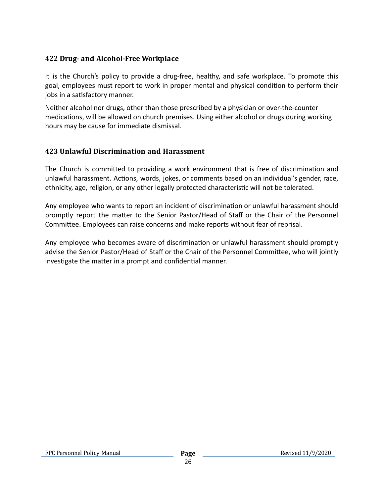# **422 Drug- and Alcohol-Free Workplace**

It is the Church's policy to provide a drug-free, healthy, and safe workplace. To promote this goal, employees must report to work in proper mental and physical condition to perform their jobs in a satisfactory manner.

Neither alcohol nor drugs, other than those prescribed by a physician or over-the-counter medications, will be allowed on church premises. Using either alcohol or drugs during working hours may be cause for immediate dismissal.

# **423 Unlawful Discrimination and Harassment**

The Church is committed to providing a work environment that is free of discrimination and unlawful harassment. Actions, words, jokes, or comments based on an individual's gender, race, ethnicity, age, religion, or any other legally protected characteristic will not be tolerated.

Any employee who wants to report an incident of discrimination or unlawful harassment should promptly report the matter to the Senior Pastor/Head of Staff or the Chair of the Personnel Committee. Employees can raise concerns and make reports without fear of reprisal.

Any employee who becomes aware of discrimination or unlawful harassment should promptly advise the Senior Pastor/Head of Staff or the Chair of the Personnel Committee, who will jointly investigate the matter in a prompt and confidential manner.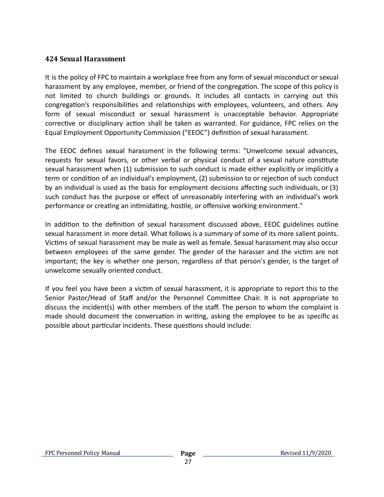#### **424 Sexual Harassment**

It is the policy of FPC to maintain a workplace free from any form of sexual misconduct or sexual harassment by any employee, member, or friend of the congregation. The scope of this policy is not limited to church buildings or grounds. It includes all contacts in carrying out this congregation's responsibilities and relationships with employees, volunteers, and others. Any form of sexual misconduct or sexual harassment is unacceptable behavior. Appropriate corrective or disciplinary action shall be taken as warranted. For guidance, FPC relies on the Equal Employment Opportunity Commission ("EEOC") definition of sexual harassment.

The EEOC defines sexual harassment in the following terms: "Unwelcome sexual advances, requests for sexual favors, or other verbal or physical conduct of a sexual nature constitute sexual harassment when (1) submission to such conduct is made either explicitly or implicitly a term or condition of an individual's employment, (2) submission to or rejection of such conduct by an individual is used as the basis for employment decisions affecting such individuals, or  $(3)$ such conduct has the purpose or effect of unreasonably interfering with an individual's work performance or creating an intimidating, hostile, or offensive working environment."

In addition to the definition of sexual harassment discussed above, EEOC guidelines outline sexual harassment in more detail. What follows is a summary of some of its more salient points. Victims of sexual harassment may be male as well as female. Sexual harassment may also occur between employees of the same gender. The gender of the harasser and the victim are not important; the key is whether one person, regardless of that person's gender, is the target of unwelcome sexually oriented conduct.

If you feel you have been a victim of sexual harassment, it is appropriate to report this to the Senior Pastor/Head of Staff and/or the Personnel Committee Chair. It is not appropriate to discuss the incident(s) with other members of the staff. The person to whom the complaint is made should document the conversation in writing, asking the employee to be as specific as possible about particular incidents. These questions should include: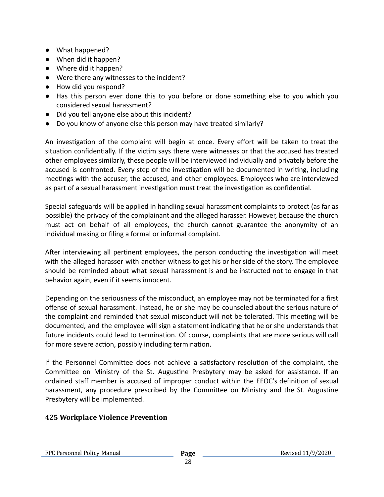- What happened?
- When did it happen?
- Where did it happen?
- Were there any witnesses to the incident?
- How did you respond?
- Has this person ever done this to you before or done something else to you which you considered sexual harassment?
- Did you tell anyone else about this incident?
- Do you know of anyone else this person may have treated similarly?

An investigation of the complaint will begin at once. Every effort will be taken to treat the situation confidentially. If the victim says there were witnesses or that the accused has treated other employees similarly, these people will be interviewed individually and privately before the accused is confronted. Every step of the investigation will be documented in writing, including meetings with the accuser, the accused, and other employees. Employees who are interviewed as part of a sexual harassment investigation must treat the investigation as confidential.

Special safeguards will be applied in handling sexual harassment complaints to protect (as far as possible) the privacy of the complainant and the alleged harasser. However, because the church must act on behalf of all employees, the church cannot guarantee the anonymity of an individual making or filing a formal or informal complaint.

After interviewing all pertinent employees, the person conducting the investigation will meet with the alleged harasser with another witness to get his or her side of the story. The employee should be reminded about what sexual harassment is and be instructed not to engage in that behavior again, even if it seems innocent.

Depending on the seriousness of the misconduct, an employee may not be terminated for a first offense of sexual harassment. Instead, he or she may be counseled about the serious nature of the complaint and reminded that sexual misconduct will not be tolerated. This meeting will be documented, and the employee will sign a statement indicating that he or she understands that future incidents could lead to termination. Of course, complaints that are more serious will call for more severe action, possibly including termination.

If the Personnel Committee does not achieve a satisfactory resolution of the complaint, the Committee on Ministry of the St. Augustine Presbytery may be asked for assistance. If an ordained staff member is accused of improper conduct within the EEOC's definition of sexual harassment, any procedure prescribed by the Committee on Ministry and the St. Augustine Presbytery will be implemented.

# **425 Workplace Violence Prevention**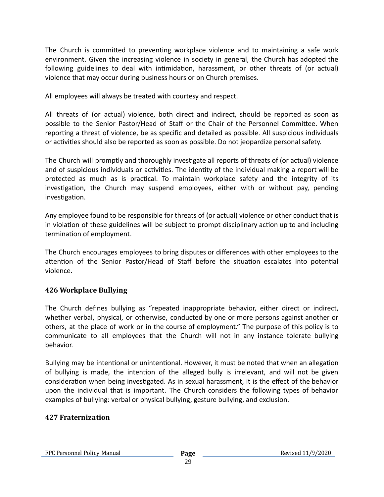The Church is committed to preventing workplace violence and to maintaining a safe work environment. Given the increasing violence in society in general, the Church has adopted the following guidelines to deal with intimidation, harassment, or other threats of (or actual) violence that may occur during business hours or on Church premises.

All employees will always be treated with courtesy and respect.

All threats of (or actual) violence, both direct and indirect, should be reported as soon as possible to the Senior Pastor/Head of Staff or the Chair of the Personnel Committee. When reporting a threat of violence, be as specific and detailed as possible. All suspicious individuals or activities should also be reported as soon as possible. Do not jeopardize personal safety.

The Church will promptly and thoroughly investigate all reports of threats of (or actual) violence and of suspicious individuals or activities. The identity of the individual making a report will be protected as much as is practical. To maintain workplace safety and the integrity of its investigation, the Church may suspend employees, either with or without pay, pending investigation.

Any employee found to be responsible for threats of (or actual) violence or other conduct that is in violation of these guidelines will be subject to prompt disciplinary action up to and including termination of employment.

The Church encourages employees to bring disputes or differences with other employees to the attention of the Senior Pastor/Head of Staff before the situation escalates into potential violence.

#### **426 Workplace Bullying**

The Church defines bullying as "repeated inappropriate behavior, either direct or indirect, whether verbal, physical, or otherwise, conducted by one or more persons against another or others, at the place of work or in the course of employment." The purpose of this policy is to communicate to all employees that the Church will not in any instance tolerate bullying behavior.

Bullying may be intentional or unintentional. However, it must be noted that when an allegation of bullying is made, the intention of the alleged bully is irrelevant, and will not be given consideration when being investigated. As in sexual harassment, it is the effect of the behavior upon the individual that is important. The Church considers the following types of behavior examples of bullying: verbal or physical bullying, gesture bullying, and exclusion.

#### **427 Fraternization**

FPC Personnel Policy Manual **Page**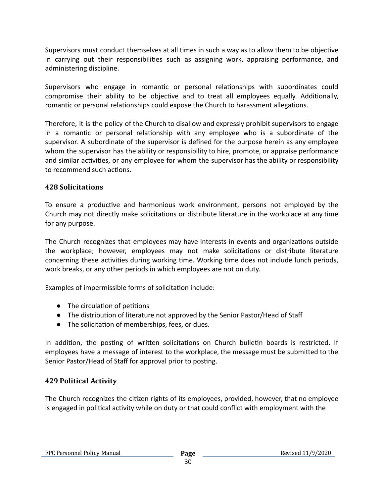Supervisors must conduct themselves at all times in such a way as to allow them to be objective in carrying out their responsibilities such as assigning work, appraising performance, and administering discipline.

Supervisors who engage in romantic or personal relationships with subordinates could compromise their ability to be objective and to treat all employees equally. Additionally, romantic or personal relationships could expose the Church to harassment allegations.

Therefore, it is the policy of the Church to disallow and expressly prohibit supervisors to engage in a romantic or personal relationship with any employee who is a subordinate of the supervisor. A subordinate of the supervisor is defined for the purpose herein as any employee whom the supervisor has the ability or responsibility to hire, promote, or appraise performance and similar activities, or any employee for whom the supervisor has the ability or responsibility to recommend such actions.

# **428 Solicitations**

To ensure a productive and harmonious work environment, persons not employed by the Church may not directly make solicitations or distribute literature in the workplace at any time for any purpose.

The Church recognizes that employees may have interests in events and organizations outside the workplace; however, employees may not make solicitations or distribute literature concerning these activities during working time. Working time does not include lunch periods, work breaks, or any other periods in which employees are not on duty.

Examples of impermissible forms of solicitation include:

- $\bullet$  The circulation of petitions
- The distribution of literature not approved by the Senior Pastor/Head of Staff
- The solicitation of memberships, fees, or dues.

In addition, the posting of written solicitations on Church bulletin boards is restricted. If employees have a message of interest to the workplace, the message must be submitted to the Senior Pastor/Head of Staff for approval prior to posting.

#### **429 Political Activity**

The Church recognizes the citizen rights of its employees, provided, however, that no employee is engaged in political activity while on duty or that could conflict with employment with the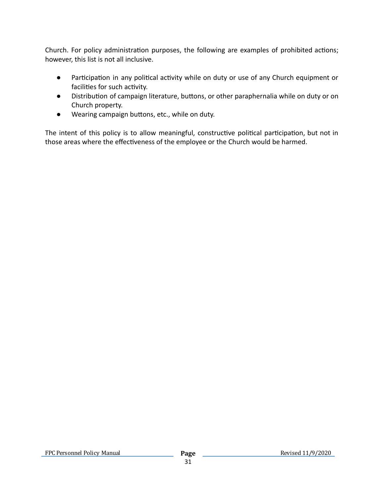Church. For policy administration purposes, the following are examples of prohibited actions; however, this list is not all inclusive.

- Participation in any political activity while on duty or use of any Church equipment or facilities for such activity.
- Distribution of campaign literature, buttons, or other paraphernalia while on duty or on Church property.
- Wearing campaign buttons, etc., while on duty.

The intent of this policy is to allow meaningful, constructive political participation, but not in those areas where the effectiveness of the employee or the Church would be harmed.